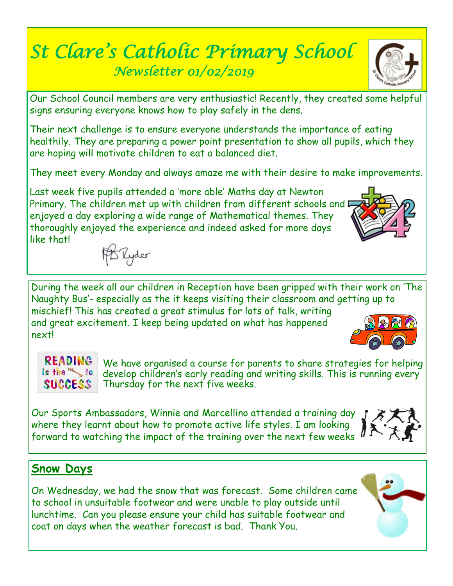# *St Clare's Catholic Primary School Newsletter 01/02/2019*

Our School Council members are very enthusiastic! Recently, they created some helpful signs ensuring everyone knows how to play safely in the dens.

Their next challenge is to ensure everyone understands the importance of eating healthily. They are preparing a power point presentation to show all pupils, which they are hoping will motivate children to eat a balanced diet.

They meet every Monday and always amaze me with their desire to make improvements.

Last week five pupils attended a 'more able' Maths day at Newton Primary. The children met up with children from different schools and  $\blacksquare$ enjoyed a day exploring a wide range of Mathematical themes. They thoroughly enjoyed the experience and indeed asked for more days like that!

During the week all our children in Reception have been gripped with their work on 'The Naughty Bus'- especially as the it keeps visiting their classroom and getting up to mischief! This has created a great stimulus for lots of talk, writing and great excitement. I keep being updated on what has happened next!

**READING** We have organised a course for parents to share strategies for helping is the a to develop children's early reading and writing skills. This is running every **SUCCESS** Thursday for the next five weeks.

Our Sports Ambassadors, Winnie and Marcellino attended a training day where they learnt about how to promote active life styles. I am looking forward to watching the impact of the training over the next few weeks  $\theta$ 

## **Snow Days**

On Wednesday, we had the snow that was forecast. Some children came to school in unsuitable footwear and were unable to play outside until lunchtime. Can you please ensure your child has suitable footwear and coat on days when the weather forecast is bad. Thank You.